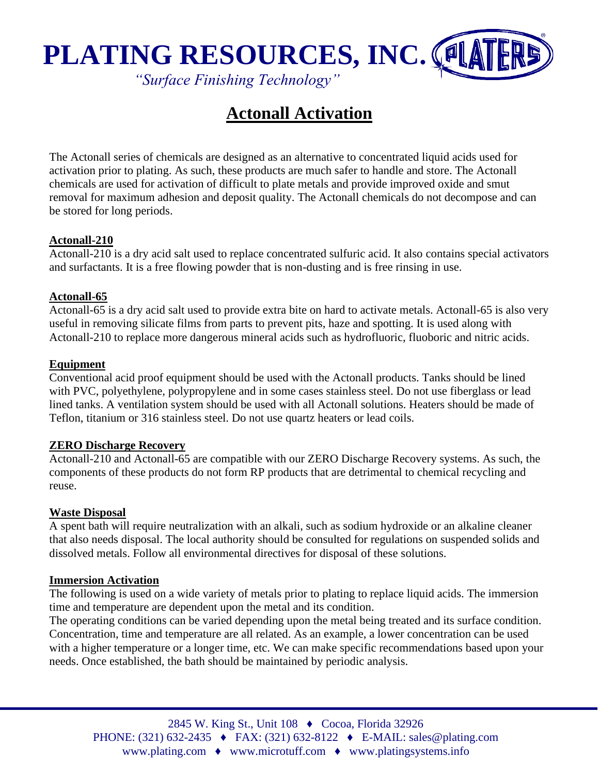

*"Surface Finishing Technology"*

# **Actonall Activation**

The Actonall series of chemicals are designed as an alternative to concentrated liquid acids used for activation prior to plating. As such, these products are much safer to handle and store. The Actonall chemicals are used for activation of difficult to plate metals and provide improved oxide and smut removal for maximum adhesion and deposit quality. The Actonall chemicals do not decompose and can be stored for long periods.

# **Actonall-210**

Actonall-210 is a dry acid salt used to replace concentrated sulfuric acid. It also contains special activators and surfactants. It is a free flowing powder that is non-dusting and is free rinsing in use.

### **Actonall-65**

Actonall-65 is a dry acid salt used to provide extra bite on hard to activate metals. Actonall-65 is also very useful in removing silicate films from parts to prevent pits, haze and spotting. It is used along with Actonall-210 to replace more dangerous mineral acids such as hydrofluoric, fluoboric and nitric acids.

#### **Equipment**

Conventional acid proof equipment should be used with the Actonall products. Tanks should be lined with PVC, polyethylene, polypropylene and in some cases stainless steel. Do not use fiberglass or lead lined tanks. A ventilation system should be used with all Actonall solutions. Heaters should be made of Teflon, titanium or 316 stainless steel. Do not use quartz heaters or lead coils.

#### **ZERO Discharge Recovery**

Actonall-210 and Actonall-65 are compatible with our ZERO Discharge Recovery systems. As such, the components of these products do not form RP products that are detrimental to chemical recycling and reuse.

#### **Waste Disposal**

A spent bath will require neutralization with an alkali, such as sodium hydroxide or an alkaline cleaner that also needs disposal. The local authority should be consulted for regulations on suspended solids and dissolved metals. Follow all environmental directives for disposal of these solutions.

#### **Immersion Activation**

The following is used on a wide variety of metals prior to plating to replace liquid acids. The immersion time and temperature are dependent upon the metal and its condition.

The operating conditions can be varied depending upon the metal being treated and its surface condition. Concentration, time and temperature are all related. As an example, a lower concentration can be used with a higher temperature or a longer time, etc. We can make specific recommendations based upon your needs. Once established, the bath should be maintained by periodic analysis.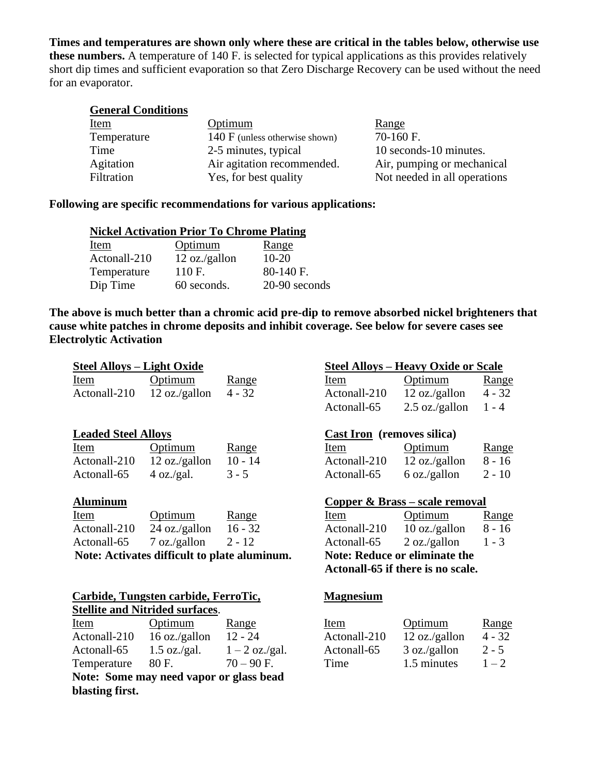**Times and temperatures are shown only where these are critical in the tables below, otherwise use these numbers.** A temperature of 140 F. is selected for typical applications as this provides relatively short dip times and sufficient evaporation so that Zero Discharge Recovery can be used without the need for an evaporator.

| <b>General Conditions</b> |                                           |                              |
|---------------------------|-------------------------------------------|------------------------------|
| <u>Item</u>               | Optimum                                   | <u>Range</u>                 |
| Temperature               | $140 \mathrm{F}$ (unless otherwise shown) | $70-160$ F.                  |
| Time                      | 2-5 minutes, typical                      | 10 seconds-10 minutes.       |
| Agitation                 | Air agitation recommended.                | Air, pumping or mechanical   |
| Filtration                | Yes, for best quality                     | Not needed in all operations |

#### **Following are specific recommendations for various applications:**

| <b>Nickel Activation Prior To Chrome Plating</b> |               |               |
|--------------------------------------------------|---------------|---------------|
| Item                                             | Optimum       | Range         |
| Actonall-210                                     | 12 oz./gallon | $10-20$       |
| Temperature                                      | 110 F.        | 80-140 F.     |
| Dip Time                                         | 60 seconds.   | 20-90 seconds |

**The above is much better than a chromic acid pre-dip to remove absorbed nickel brighteners that cause white patches in chrome deposits and inhibit coverage. See below for severe cases see Electrolytic Activation** 

| <b>Steel Alloys – Light Oxide</b> |                                                                                |          |                                   | <b>Steel Alloys – Heavy Oxide or Scale</b>                                |              |
|-----------------------------------|--------------------------------------------------------------------------------|----------|-----------------------------------|---------------------------------------------------------------------------|--------------|
| Item                              | Optimum                                                                        | Range    | Item                              | Optimum                                                                   | <u>Range</u> |
| Actonall-210                      | 12 oz./gallon                                                                  | $4 - 32$ | Actonall-210                      | 12 oz./gallon                                                             | $4 - 32$     |
|                                   |                                                                                |          | Actonall-65                       | $2.5 \text{ oz./gallon}$                                                  | $1 - 4$      |
| <b>Leaded Steel Alloys</b>        |                                                                                |          | <b>Cast Iron</b> (removes silica) |                                                                           |              |
| Item                              | Optimum                                                                        | Range    | Item                              | Optimum                                                                   | Range        |
|                                   | Actonall-210 $12 \text{ oz./gallon}$ 10 - 14                                   |          |                                   | Actonall-210 $12 \text{ oz./gallon}$                                      | $8 - 16$     |
| Actonall-65                       | 4 oz./gal.                                                                     | $3 - 5$  | Actonall-65                       | $6 \text{ oz./gallon}$                                                    | $2 - 10$     |
| <b>Aluminum</b>                   |                                                                                |          |                                   | Copper & Brass – scale removal                                            |              |
| Item                              | Optimum                                                                        | Range    | Item                              | Optimum                                                                   | Range        |
|                                   | Actonall-210 $24$ oz./gallon $16 - 32$                                         |          |                                   | $\text{Actual-}210$ 10 oz./gallon                                         | $8 - 16$     |
| Actonall-65                       | $7 \text{ oz./gallon}$ 2 - 12                                                  |          |                                   | Actonall-65 $\qquad$ 2 oz./gallon                                         | $1 - 3$      |
|                                   | Note: Activates difficult to plate aluminum.                                   |          |                                   | <b>Note: Reduce or eliminate the</b><br>Actonall-65 if there is no scale. |              |
|                                   | Carbide, Tungsten carbide, FerroTic,<br><b>Stellite and Nitrided surfaces.</b> |          | <b>Magnesium</b>                  |                                                                           |              |

Item Optimum Range Actonall-210  $12$  oz./gallon  $4 - 32$ 

Actonall-65 3 oz./gallon  $2-5$ <br>Time 1.5 minutes  $1-2$ 

 $Time \t1.5 minutes$ 

| Stemit and Intrinct surfaces.           |                |                  |  |
|-----------------------------------------|----------------|------------------|--|
| Item                                    | Optimum        | Range            |  |
| Actonall-210                            | 16 oz./gallon  | $12 - 24$        |  |
| Actonall-65                             | $1.5$ oz./gal. | $1 - 2$ oz./gal. |  |
| Temperature                             | 80 F.          | $70 - 90$ F.     |  |
| Note: Some may need vapor or glass bead |                |                  |  |
| blasting first.                         |                |                  |  |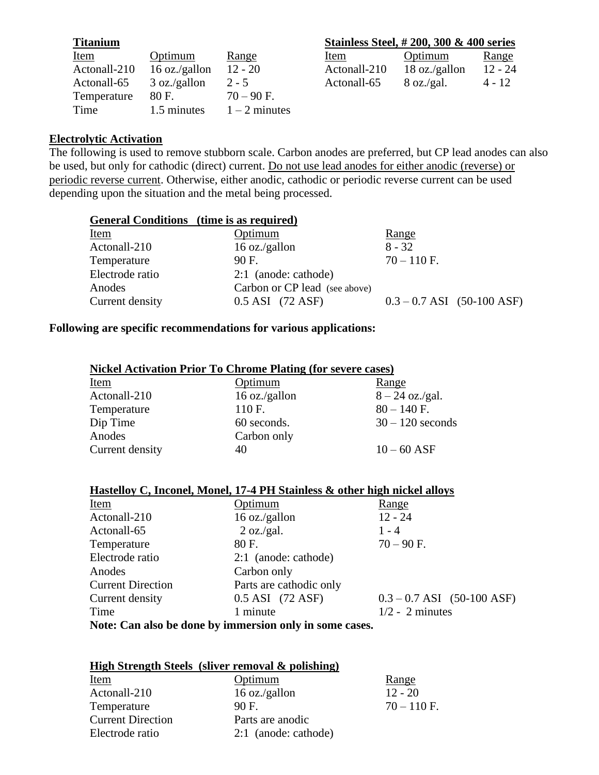| <b>Titanium</b> |               |                 |
|-----------------|---------------|-----------------|
| Item            | Optimum       | Range           |
| Actonall-210    | 16 oz./gallon | $12 - 20$       |
| Actonall-65     | 3 oz./gallon  | $2 - 5$         |
| Temperature     | 80 F.         | $70 - 90$ F.    |
| Time            | 1.5 minutes   | $1 - 2$ minutes |

# **<u>Stainless Steel, #200, 300 & 400 series</u>** Item Optimum Range Actonall-210  $18 \text{ oz./gallon}$   $12 - 24$ <br>Actonall-65  $8 \text{ oz./gal.}$   $4 - 12$

Actonall-65 8 oz./gal.  $4 - 12$ 

### **Electrolytic Activation**

The following is used to remove stubborn scale. Carbon anodes are preferred, but CP lead anodes can also be used, but only for cathodic (direct) current. Do not use lead anodes for either anodic (reverse) or periodic reverse current. Otherwise, either anodic, cathodic or periodic reverse current can be used depending upon the situation and the metal being processed.

| General Conditions (time is as required) |                               |                                |
|------------------------------------------|-------------------------------|--------------------------------|
| <u>Item</u>                              | Optimum                       | <u>Range</u>                   |
| Actonall-210                             | 16 oz./gallon                 | $8 - 32$                       |
| Temperature                              | $90F$ .                       | $70 - 110$ F.                  |
| Electrode ratio                          | 2:1 (anode: cathode)          |                                |
| Anodes                                   | Carbon or CP lead (see above) |                                |
| Current density                          | 0.5 ASI (72 ASF)              | $0.3 - 0.7$ ASI $(50-100$ ASF) |
|                                          |                               |                                |

# **Following are specific recommendations for various applications:**

| <b>Nickel Activation Prior To Chrome Plating (for severe cases)</b> |                |                    |
|---------------------------------------------------------------------|----------------|--------------------|
| <b>Item</b>                                                         | <u>Optimum</u> | Range              |
| Actonall-210                                                        | 16 oz./gallon  | $8 - 24$ oz./gal.  |
| Temperature                                                         | 110 F.         | $80 - 140$ F.      |
| Dip Time                                                            | 60 seconds.    | $30 - 120$ seconds |
| Anodes                                                              | Carbon only    |                    |
| Current density                                                     | 40             | $10 - 60$ ASF      |

| Item                     | Optimum                                                 | Range                          |
|--------------------------|---------------------------------------------------------|--------------------------------|
| Actonall-210             | 16 oz./gallon                                           | $12 - 24$                      |
| Actonall-65              | 2 oz./gal.                                              | $1 - 4$                        |
| Temperature              | 80 F.                                                   | $70 - 90$ F.                   |
| Electrode ratio          | 2:1 (anode: cathode)                                    |                                |
| Anodes                   | Carbon only                                             |                                |
| <b>Current Direction</b> | Parts are cathodic only                                 |                                |
| Current density          | 0.5 ASI (72 ASF)                                        | $0.3 - 0.7$ ASI $(50-100$ ASF) |
| Time                     | 1 minute                                                | $1/2 - 2$ minutes              |
|                          | Note: Can also be done by immersion only in some cases. |                                |

| High Strength Steels (sliver removal & polishing) |  |  |
|---------------------------------------------------|--|--|
|---------------------------------------------------|--|--|

| Item                     | Optimum              | Range         |
|--------------------------|----------------------|---------------|
| Actonall-210             | 16 oz./gallon        | $12 - 20$     |
| Temperature              | 90 F.                | $70 - 110$ F. |
| <b>Current Direction</b> | Parts are anodic     |               |
| Electrode ratio          | 2:1 (anode: cathode) |               |